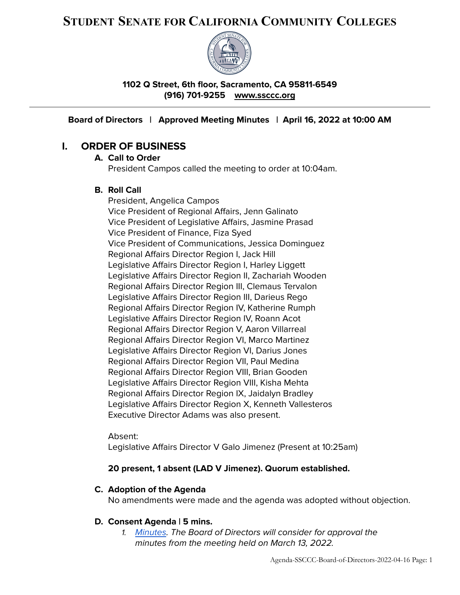# **STUDENT SENATE FOR CALIFORNIA COMMUNITY COLLEGES**



**1102 Q Street, 6th floor, Sacramento, CA 95811-6549 (916) 701-9255 [www.ssccc.org](http://www.studentsenateccc.org)**

**Board of Directors | Approved Meeting Minutes | April 16, 2022 at 10:00 AM**

# **I. ORDER OF BUSINESS**

## **A. Call to Order** President Campos called the meeting to order at 10:04am.

## **B. Roll Call**

President, Angelica Campos Vice President of Regional Affairs, Jenn Galinato Vice President of Legislative Affairs, Jasmine Prasad Vice President of Finance, Fiza Syed Vice President of Communications, Jessica Dominguez Regional Affairs Director Region I, Jack Hill Legislative Affairs Director Region I, Harley Liggett Legislative Affairs Director Region II, Zachariah Wooden Regional Affairs Director Region III, Clemaus Tervalon Legislative Affairs Director Region III, Darieus Rego Regional Affairs Director Region IV, Katherine Rumph Legislative Affairs Director Region IV, Roann Acot Regional Affairs Director Region V, Aaron Villarreal Regional Affairs Director Region VI, Marco Martinez Legislative Affairs Director Region VI, Darius Jones Regional Affairs Director Region VII, Paul Medina Regional Affairs Director Region VIII, Brian Gooden Legislative Affairs Director Region VIII, Kisha Mehta Regional Affairs Director Region IX, Jaidalyn Bradley Legislative Affairs Director Region X, Kenneth Vallesteros Executive Director Adams was also present.

Absent:

Legislative Affairs Director V Galo Jimenez (Present at 10:25am)

## **20 present, 1 absent (LAD V Jimenez). Quorum established.**

## **C. Adoption of the Agenda**

No amendments were made and the agenda was adopted without objection.

#### **D. Consent Agenda | 5 mins.**

1. [Minutes](https://docs.google.com/document/d/1Gkl4UFCf140B6v6DkbQQpDUYEJryKbFgHXox2WqR4-U/edit?usp=sharing). The Board of Directors will consider for approval the minutes from the meeting held on March 13, 2022.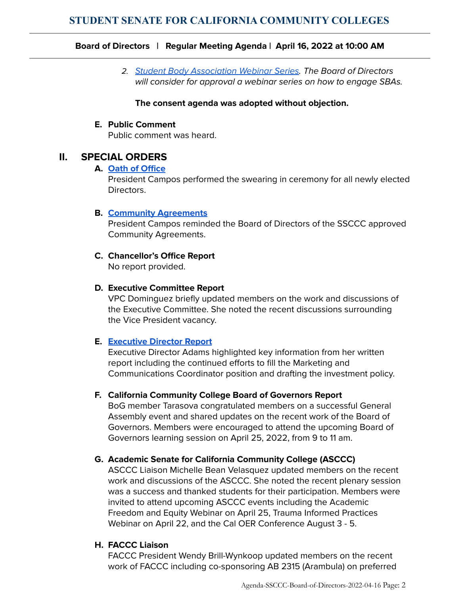2. Student Body [Association](https://docs.google.com/document/d/1-vUu6V5bTThj8h11Vx81spNe1ZjhgnyebGi-b-4AsJU/edit?usp=sharing) Webinar Series. The Board of Directors will consider for approval a webinar series on how to engage SBAs.

#### **The consent agenda was adopted without objection.**

#### **E. Public Comment**

Public comment was heard.

# **II. SPECIAL ORDERS**

#### **A. Oath of [Office](https://docs.google.com/document/d/1aUPbVys15lXkf4qFNs4nmLkne2lZ2urbDrcdUNHjl0s/edit?usp=sharing)**

President Campos performed the swearing in ceremony for all newly elected Directors.

## **B. Community [Agreements](https://docs.google.com/document/d/1tZihPFZE0EWlTJuzSxx4gW-NjUkwUQpLqHWdIXurs10/edit?usp=sharing)**

President Campos reminded the Board of Directors of the SSCCC approved Community Agreements.

# **C. Chancellor's Office Report**

No report provided.

## **D. Executive Committee Report**

VPC Dominguez briefly updated members on the work and discussions of the Executive Committee. She noted the recent discussions surrounding the Vice President vacancy.

## **E. [Executive](https://drive.google.com/file/d/1-j3C7xjTQAEXAKwth8x-Lx9LdyPDctbc/view?usp=sharing) Director Report**

Executive Director Adams highlighted key information from her written report including the continued efforts to fill the Marketing and Communications Coordinator position and drafting the investment policy.

## **F. California Community College Board of Governors Report**

BoG member Tarasova congratulated members on a successful General Assembly event and shared updates on the recent work of the Board of Governors. Members were encouraged to attend the upcoming Board of Governors learning session on April 25, 2022, from 9 to 11 am.

## **G. Academic Senate for California Community College (ASCCC)**

ASCCC Liaison Michelle Bean Velasquez updated members on the recent work and discussions of the ASCCC. She noted the recent plenary session was a success and thanked students for their participation. Members were invited to attend upcoming ASCCC events including the Academic Freedom and Equity Webinar on April 25, Trauma Informed Practices Webinar on April 22, and the Cal OER Conference August 3 - 5.

## **H. FACCC Liaison**

FACCC President Wendy Brill-Wynkoop updated members on the recent work of FACCC including co-sponsoring AB 2315 (Arambula) on preferred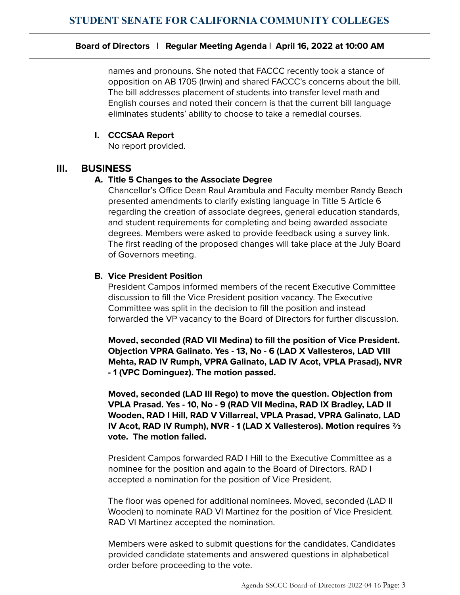names and pronouns. She noted that FACCC recently took a stance of opposition on AB 1705 (Irwin) and shared FACCC's concerns about the bill. The bill addresses placement of students into transfer level math and English courses and noted their concern is that the current bill language eliminates students' ability to choose to take a remedial courses.

## **I. CCCSAA Report**

No report provided.

# **III. BUSINESS**

## **A. Title 5 Changes to the Associate Degree**

Chancellor's Office Dean Raul Arambula and Faculty member Randy Beach presented amendments to clarify existing language in Title 5 Article 6 regarding the creation of associate degrees, general education standards, and student requirements for completing and being awarded associate degrees. Members were asked to provide feedback using a survey link. The first reading of the proposed changes will take place at the July Board of Governors meeting.

## **B. Vice President Position**

President Campos informed members of the recent Executive Committee discussion to fill the Vice President position vacancy. The Executive Committee was split in the decision to fill the position and instead forwarded the VP vacancy to the Board of Directors for further discussion.

**Moved, seconded (RAD VII Medina) to fill the position of Vice President. Objection VPRA Galinato. Yes - 13, No - 6 (LAD X Vallesteros, LAD VIII Mehta, RAD IV Rumph, VPRA Galinato, LAD IV Acot, VPLA Prasad), NVR - 1 (VPC Dominguez). The motion passed.**

**Moved, seconded (LAD III Rego) to move the question. Objection from VPLA Prasad. Yes - 10, No - 9 (RAD VII Medina, RAD IX Bradley, LAD II Wooden, RAD I Hill, RAD V Villarreal, VPLA Prasad, VPRA Galinato, LAD IV Acot, RAD IV Rumph), NVR - 1 (LAD X Vallesteros). Motion requires ⅔ vote. The motion failed.**

President Campos forwarded RAD I Hill to the Executive Committee as a nominee for the position and again to the Board of Directors. RAD I accepted a nomination for the position of Vice President.

The floor was opened for additional nominees. Moved, seconded (LAD II Wooden) to nominate RAD VI Martinez for the position of Vice President. RAD VI Martinez accepted the nomination.

Members were asked to submit questions for the candidates. Candidates provided candidate statements and answered questions in alphabetical order before proceeding to the vote.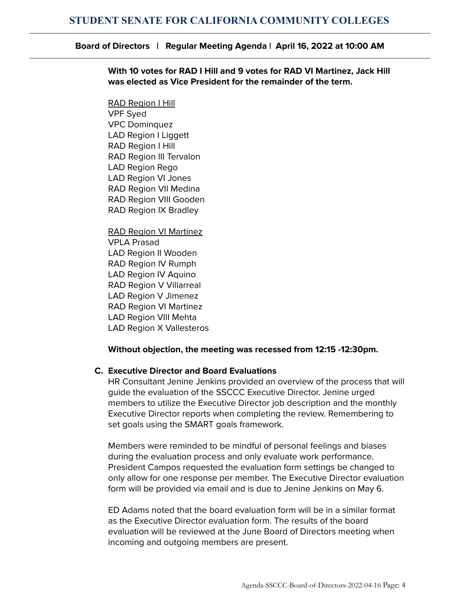**With 10 votes for RAD I Hill and 9 votes for RAD VI Martinez, Jack Hill was elected as Vice President for the remainder of the term.**

RAD Region I Hill VPF Syed VPC Dominquez LAD Region I Liggett RAD Region I Hill RAD Region III Tervalon LAD Region Rego LAD Region VI Jones RAD Region VII Medina RAD Region VIII Gooden RAD Region IX Bradley

RAD Region VI Martinez VPLA Prasad LAD Region II Wooden RAD Region IV Rumph LAD Region IV Aquino RAD Region V Villarreal LAD Region V Jimenez RAD Region VI Martinez LAD Region VIII Mehta LAD Region X Vallesteros

#### **Without objection, the meeting was recessed from 12:15 -12:30pm.**

#### **C. Executive Director and Board Evaluations**

HR Consultant Jenine Jenkins provided an overview of the process that will guide the evaluation of the SSCCC Executive Director. Jenine urged members to utilize the Executive Director job description and the monthly Executive Director reports when completing the review. Remembering to set goals using the SMART goals framework.

Members were reminded to be mindful of personal feelings and biases during the evaluation process and only evaluate work performance. President Campos requested the evaluation form settings be changed to only allow for one response per member. The Executive Director evaluation form will be provided via email and is due to Jenine Jenkins on May 6.

ED Adams noted that the board evaluation form will be in a similar format as the Executive Director evaluation form. The results of the board evaluation will be reviewed at the June Board of Directors meeting when incoming and outgoing members are present.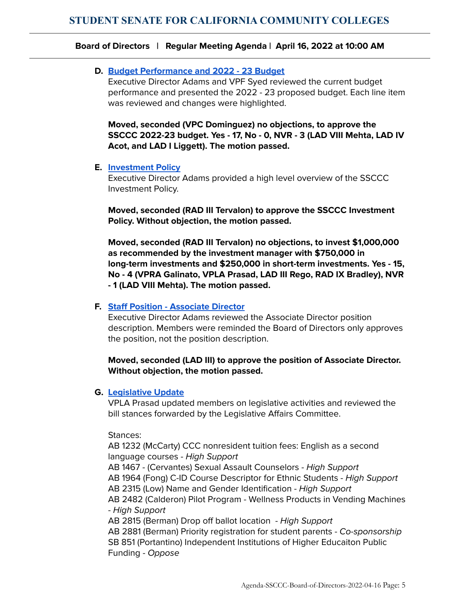## **D. Budget [Performance](https://docs.google.com/spreadsheets/d/1qyyE8-sVe95Ly9R4zdppUDT53z2a8HbKk7S0irtC5Oc/edit?usp=sharing) and 2022 - 23 Budget**

Executive Director Adams and VPF Syed reviewed the current budget performance and presented the 2022 - 23 proposed budget. Each line item was reviewed and changes were highlighted.

**Moved, seconded (VPC Dominguez) no objections, to approve the SSCCC 2022-23 budget. Yes - 17, No - 0, NVR - 3 (LAD VIII Mehta, LAD IV Acot, and LAD I Liggett). The motion passed.**

#### **E. [Investment](https://docs.google.com/document/d/1qje2VXKapKGhE5DPtm7mdNSRiIvxfhDjWvJRHfvdxAg/edit?usp=sharing) Policy**

Executive Director Adams provided a high level overview of the SSCCC Investment Policy.

**Moved, seconded (RAD III Tervalon) to approve the SSCCC Investment Policy. Without objection, the motion passed.**

**Moved, seconded (RAD III Tervalon) no objections, to invest \$1,000,000 as recommended by the investment manager with \$750,000 in long-term investments and \$250,000 in short-term investments. Yes - 15, No - 4 (VPRA Galinato, VPLA Prasad, LAD III Rego, RAD IX Bradley), NVR - 1 (LAD VIII Mehta). The motion passed.**

## **F. Staff Position - [Associate](https://docs.google.com/document/d/1PwTHucY4b_5gBpM3g3WDHQ0GfRs1wmyZ_GfujrT7kqU/edit?usp=sharing) Director**

Executive Director Adams reviewed the Associate Director position description. Members were reminded the Board of Directors only approves the position, not the position description.

## **Moved, seconded (LAD III) to approve the position of Associate Director. Without objection, the motion passed.**

## **G. [Legislative](https://drive.google.com/drive/folders/1rtTMSyW2ETTGMpM4g5eLValQA3Fy8vgq) Update**

VPLA Prasad updated members on legislative activities and reviewed the bill stances forwarded by the Legislative Affairs Committee.

Stances:

AB 1232 (McCarty) CCC nonresident tuition fees: English as a second language courses - High Support

AB 1467 - (Cervantes) Sexual Assault Counselors - High Support AB 1964 (Fong) C-ID Course Descriptor for Ethnic Students - High Support AB 2315 (Low) Name and Gender Identification - High Support

AB 2482 (Calderon) Pilot Program - Wellness Products in Vending Machines - High Support

AB 2815 (Berman) Drop off ballot location - High Support AB 2881 (Berman) Priority registration for student parents - Co-sponsorship SB 851 (Portantino) Independent Institutions of Higher Educaiton Public Funding - Oppose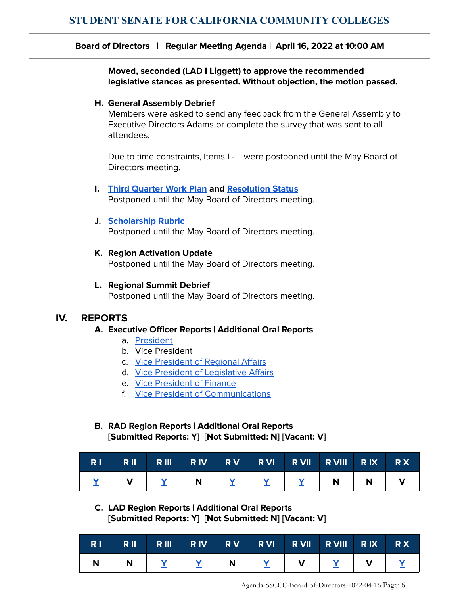**Moved, seconded (LAD I Liggett) to approve the recommended legislative stances as presented. Without objection, the motion passed.**

#### **H. General Assembly Debrief**

Members were asked to send any feedback from the General Assembly to Executive Directors Adams or complete the survey that was sent to all attendees.

Due to time constraints, Items I - L were postponed until the May Board of Directors meeting.

**I. Third [Quarter](https://docs.google.com/spreadsheets/d/1leUFsW0eNPGRuR0RFzzamcblwosr6v38EaAyVXhprhE/edit?usp=sharing) Work Plan and [Resolution](https://docs.google.com/document/d/1wTxMdyRPPhfdK1MH8_gyMv9GZLJqkqYtUFJs7_dLNpU/edit?usp=sharing) Status** Postponed until the May Board of Directors meeting.

#### **J. [Scholarship](https://docs.google.com/document/d/1xyY8oaMR8lR3wMBioqtw9ql0xs20__Kj0IVcdn1ECjQ/edit?usp=sharing) Rubric**

Postponed until the May Board of Directors meeting.

#### **K. Region Activation Update**

Postponed until the May Board of Directors meeting.

#### **L. Regional Summit Debrief**

Postponed until the May Board of Directors meeting.

#### **IV. REPORTS**

#### **A. Executive Officer Reports | Additional Oral Reports**

- a. [President](https://drive.google.com/file/d/1pnhP86ztigKQSomVRuWW6iIZrf_tyMfX/view?usp=sharing)
- b. Vice President
- c. Vice [President](https://drive.google.com/file/d/19QQqg07jug5w9SDpWWVAPR4VQ_y70VXd/view?usp=sharing) of Regional Affairs
- d. Vice President of [Legislative](https://drive.google.com/file/d/1H6dll9sZL7PmM8kQQqHiiJOUim6yYtjQ/view?usp=sharing) Affairs
- e. Vice [President](https://drive.google.com/file/d/1Ljt244Xv2rJbyym4ILlUAIiLtgxz2IlM/view?usp=sharing) of Finance
- f. Vice President of [Communications](https://drive.google.com/file/d/1C7nijW1AolmmEjkrK_0jTJh9nrtuT3lr/view?usp=sharing)

# **B. RAD Region Reports | Additional Oral Reports [Submitted Reports: Y] [Not Submitted: N] [Vacant: V]**

| RI RII |             | RIII RIV RV RVI RVII RVIII RIX RX |   |  |
|--------|-------------|-----------------------------------|---|--|
|        | $\mathbf N$ |                                   | N |  |

## **C. LAD Region Reports | Additional Oral Reports [Submitted Reports: Y] [Not Submitted: N] [Vacant: V]**

|  |  | RIRIRI RII RIV RV RVI RVII RVIII RIX RX                   |  |  |
|--|--|-----------------------------------------------------------|--|--|
|  |  | N   <u>Y</u>   <u>Y</u>   N   <u>Y</u>   V   <u>Y</u>   V |  |  |

Agenda-SSCCC-Board-of-Directors-2022-04-16 Page: 6